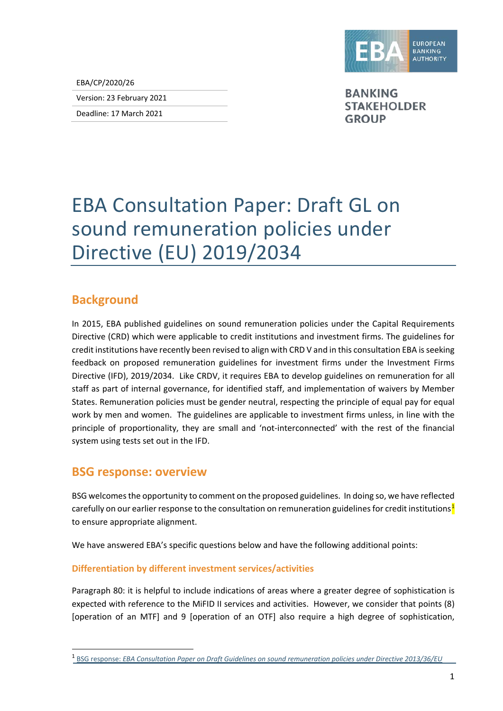

EBA/CP/2020/26

Version: 23 February 2021

Deadline: 17 March 2021

**BANKING STAKEHOLDER GROUP** 

# EBA Consultation Paper: Draft GL on sound remuneration policies under Directive (EU) 2019/2034

# **Background**

In 2015, EBA published guidelines on sound remuneration policies under the Capital Requirements Directive (CRD) which were applicable to credit institutions and investment firms. The guidelines for credit institutions have recently been revised to align with CRD V and in this consultation EBA is seeking feedback on proposed remuneration guidelines for investment firms under the Investment Firms Directive (IFD), 2019/2034. Like CRDV, it requires EBA to develop guidelines on remuneration for all staff as part of internal governance, for identified staff, and implementation of waivers by Member States. Remuneration policies must be gender neutral, respecting the principle of equal pay for equal work by men and women. The guidelines are applicable to investment firms unless, in line with the principle of proportionality, they are small and 'not-interconnected' with the rest of the financial system using tests set out in the IFD.

## **BSG response: overview**

l

BSG welcomes the opportunity to comment on the proposed guidelines. In doing so, we have reflected carefully on our earlier response to the consultation on remuneration guidelines for credit institutions<sup>[1](#page-0-0)</sup> to ensure appropriate alignment.

We have answered EBA's specific questions below and have the following additional points:

#### **Differentiation by different investment services/activities**

Paragraph 80: it is helpful to include indications of areas where a greater degree of sophistication is expected with reference to the MiFID II services and activities. However, we consider that points (8) [operation of an MTF] and 9 [operation of an OTF] also require a high degree of sophistication,

<span id="page-0-0"></span><sup>1</sup> BSG response: *[EBA Consultation Paper on Draft Guidelines on sound remuneration policies under Directive 2013/36/EU](https://www.eba.europa.eu/sites/default/documents/files/document_library/Publications/Consultations/2021/Guidelines%20on%20sound%20remuneration%20policies%20under%20Directive%202013-36-EU/962514/EBA%20BSG%20CP%20Remuneration%20Policy.pdf)*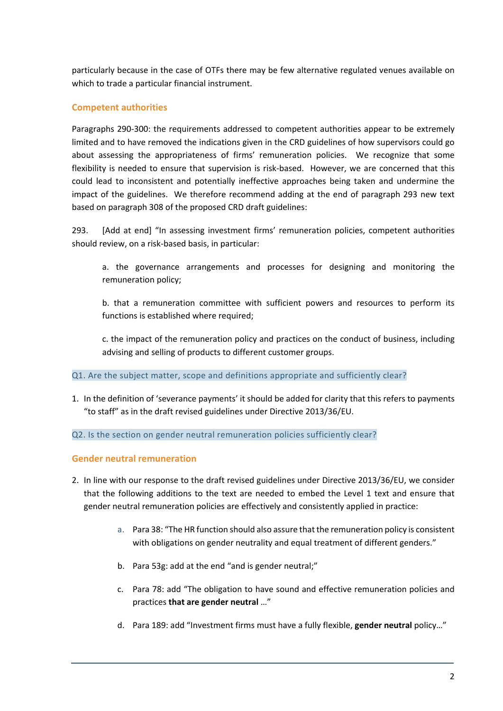particularly because in the case of OTFs there may be few alternative regulated venues available on which to trade a particular financial instrument.

## **Competent authorities**

Paragraphs 290-300: the requirements addressed to competent authorities appear to be extremely limited and to have removed the indications given in the CRD guidelines of how supervisors could go about assessing the appropriateness of firms' remuneration policies. We recognize that some flexibility is needed to ensure that supervision is risk-based. However, we are concerned that this could lead to inconsistent and potentially ineffective approaches being taken and undermine the impact of the guidelines. We therefore recommend adding at the end of paragraph 293 new text based on paragraph 308 of the proposed CRD draft guidelines:

293. [Add at end] "In assessing investment firms' remuneration policies, competent authorities should review, on a risk-based basis, in particular:

a. the governance arrangements and processes for designing and monitoring the remuneration policy;

b. that a remuneration committee with sufficient powers and resources to perform its functions is established where required;

c. the impact of the remuneration policy and practices on the conduct of business, including advising and selling of products to different customer groups.

Q1. Are the subject matter, scope and definitions appropriate and sufficiently clear?

1. In the definition of 'severance payments' it should be added for clarity that this refers to payments "to staff" as in the draft revised guidelines under Directive 2013/36/EU.

Q2. Is the section on gender neutral remuneration policies sufficiently clear?

#### **Gender neutral remuneration**

- 2. In line with our response to the draft revised guidelines under Directive 2013/36/EU, we consider that the following additions to the text are needed to embed the Level 1 text and ensure that gender neutral remuneration policies are effectively and consistently applied in practice:
	- a. Para 38: "The HR function should also assure that the remuneration policy is consistent with obligations on gender neutrality and equal treatment of different genders."
	- b. Para 53g: add at the end "and is gender neutral;"
	- c. Para 78: add "The obligation to have sound and effective remuneration policies and practices **that are gender neutral** …"
	- d. Para 189: add "Investment firms must have a fully flexible, **gender neutral** policy…"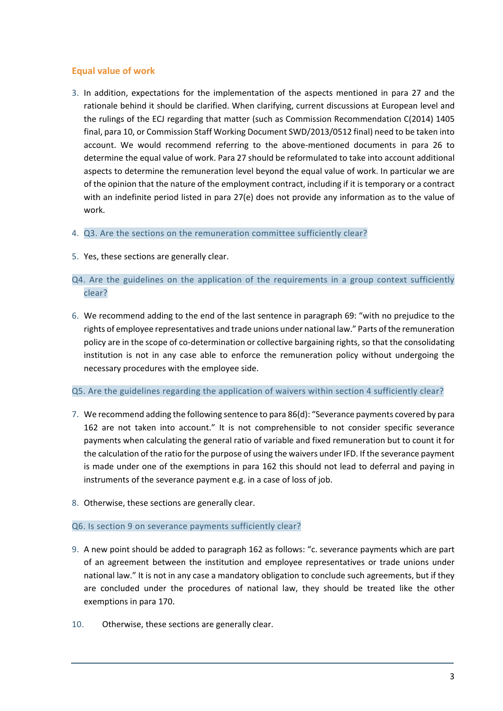## **Equal value of work**

- 3. In addition, expectations for the implementation of the aspects mentioned in para 27 and the rationale behind it should be clarified. When clarifying, current discussions at European level and the rulings of the ECJ regarding that matter (such as Commission Recommendation C(2014) 1405 final, para 10, or Commission Staff Working Document SWD/2013/0512 final) need to be taken into account. We would recommend referring to the above-mentioned documents in para 26 to determine the equal value of work. Para 27 should be reformulated to take into account additional aspects to determine the remuneration level beyond the equal value of work. In particular we are of the opinion that the nature of the employment contract, including if it is temporary or a contract with an indefinite period listed in para 27(e) does not provide any information as to the value of work.
- 4. Q3. Are the sections on the remuneration committee sufficiently clear?
- 5. Yes, these sections are generally clear.

## Q4. Are the guidelines on the application of the requirements in a group context sufficiently clear?

6. We recommend adding to the end of the last sentence in paragraph 69: "with no prejudice to the rights of employee representatives and trade unions under national law." Parts of the remuneration policy are in the scope of co-determination or collective bargaining rights, so that the consolidating institution is not in any case able to enforce the remuneration policy without undergoing the necessary procedures with the employee side.

#### Q5. Are the guidelines regarding the application of waivers within section 4 sufficiently clear?

- 7. We recommend adding the following sentence to para 86(d): "Severance payments covered by para 162 are not taken into account." It is not comprehensible to not consider specific severance payments when calculating the general ratio of variable and fixed remuneration but to count it for the calculation of the ratio for the purpose of using the waivers under IFD. If the severance payment is made under one of the exemptions in para 162 this should not lead to deferral and paying in instruments of the severance payment e.g. in a case of loss of job.
- 8. Otherwise, these sections are generally clear.

#### Q6. Is section 9 on severance payments sufficiently clear?

- 9. A new point should be added to paragraph 162 as follows: "c. severance payments which are part of an agreement between the institution and employee representatives or trade unions under national law." It is not in any case a mandatory obligation to conclude such agreements, but if they are concluded under the procedures of national law, they should be treated like the other exemptions in para 170.
- 10. Otherwise, these sections are generally clear.